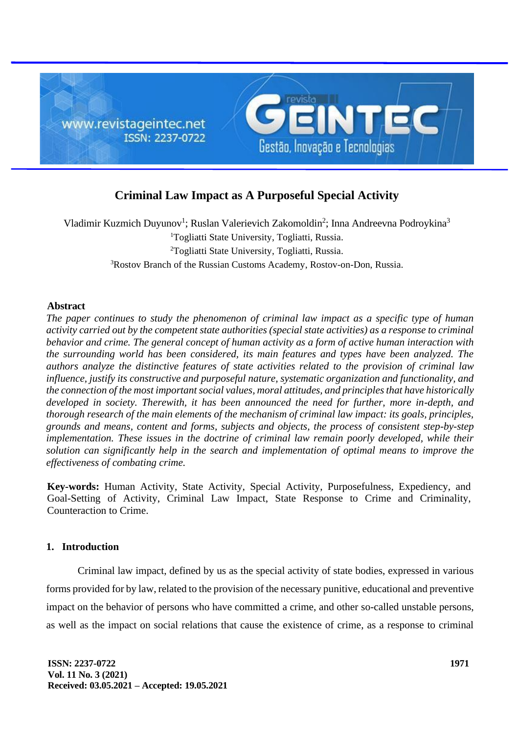

# **Criminal Law Impact as A Purposeful Special Activity**

Vladimir Kuzmich Duyunov<sup>1</sup>; Ruslan Valerievich Zakomoldin<sup>2</sup>; Inna Andreevna Podroykina<sup>3</sup> Togliatti State University, Togliatti, Russia. Togliatti State University, Togliatti, Russia. Rostov Branch of the Russian Customs Academy, Rostov-on-Don, Russia.

## **Abstract**

*The paper continues to study the phenomenon of criminal law impact as a specific type of human activity carried out by the competent state authorities (special state activities) as a response to criminal behavior and crime. The general concept of human activity as a form of active human interaction with the surrounding world has been considered, its main features and types have been analyzed. The authors analyze the distinctive features of state activities related to the provision of criminal law influence, justify its constructive and purposeful nature, systematic organization and functionality, and the connection of the most important social values, moral attitudes, and principles that have historically developed in society. Therewith, it has been announced the need for further, more in-depth, and thorough research of the main elements of the mechanism of criminal law impact: its goals, principles, grounds and means, content and forms, subjects and objects, the process of consistent step-by-step implementation. These issues in the doctrine of criminal law remain poorly developed, while their solution can significantly help in the search and implementation of optimal means to improve the effectiveness of combating crime.* 

**Key-words:** Human Activity, State Activity, Special Activity, Purposefulness, Expediency, and Goal-Setting of Activity, Criminal Law Impact, State Response to Crime and Criminality, Counteraction to Crime.

## **1. Introduction**

Criminal law impact, defined by us as the special activity of state bodies, expressed in various forms provided for by law, related to the provision of the necessary punitive, educational and preventive impact on the behavior of persons who have committed a crime, and other so-called unstable persons, as well as the impact on social relations that cause the existence of crime, as a response to criminal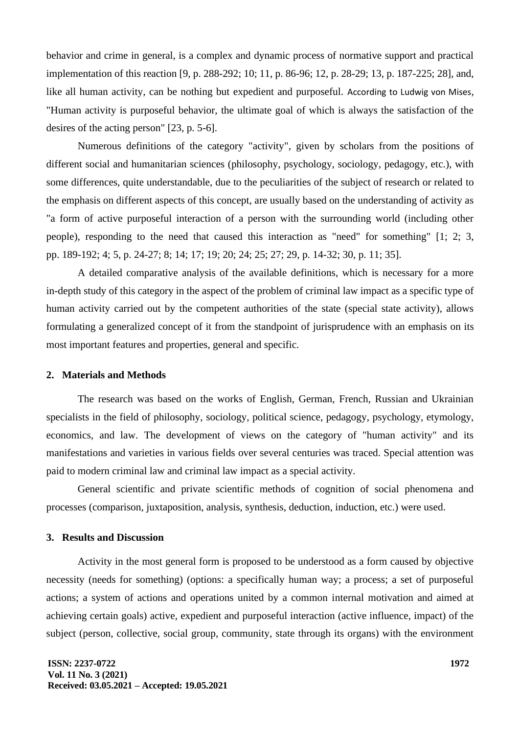behavior and crime in general, is a complex and dynamic process of normative support and practical implementation of this reaction [9, p. 288-292; 10; 11, p. 86-96; 12, p. 28-29; 13, p. 187-225; 28], and, like all human activity, can be nothing but expedient and purposeful. [According to Ludwig von Mises](https://booksonline.com.ua/index.php?author=%D0%9C%D0%B8%D0%B7%D0%B5%D1%81%20%D0%9B%D1%8E%D0%B4%D0%B2%D0%B8%D0%B3), "Human activity is purposeful behavior, the ultimate goal of which is always the satisfaction of the desires of the acting person" [23, p. 5-6].

Numerous definitions of the category "activity", given by scholars from the positions of different social and humanitarian sciences (philosophy, psychology, sociology, pedagogy, etc.), with some differences, quite understandable, due to the peculiarities of the subject of research or related to the emphasis on different aspects of this concept, are usually based on the understanding of activity as "a form of active purposeful interaction of a person with the surrounding world (including other people), responding to the need that caused this interaction as "need" for something" [1; 2; 3, pp. 189-192; 4; 5, p. 24-27; 8; 14; 17; 19; 20; 24; 25; 27; 29, p. 14-32; 30, p. 11; 35].

A detailed comparative analysis of the available definitions, which is necessary for a more in-depth study of this category in the aspect of the problem of criminal law impact as a specific type of human activity carried out by the competent authorities of the state (special state activity), allows formulating a generalized concept of it from the standpoint of jurisprudence with an emphasis on its most important features and properties, general and specific.

#### **2. Materials and Methods**

The research was based on the works of English, German, French, Russian and Ukrainian specialists in the field of philosophy, sociology, political science, pedagogy, psychology, etymology, economics, and law. The development of views on the category of "human activity" and its manifestations and varieties in various fields over several centuries was traced. Special attention was paid to modern criminal law and criminal law impact as a special activity.

General scientific and private scientific methods of cognition of social phenomena and processes (comparison, juxtaposition, analysis, synthesis, deduction, induction, etc.) were used.

# **3. Results and Discussion**

Activity in the most general form is proposed to be understood as a form caused by objective necessity (needs for something) (options: a specifically human way; a process; a set of purposeful actions; a system of actions and operations united by a common internal motivation and aimed at achieving certain goals) active, expedient and purposeful interaction (active influence, impact) of the subject (person, collective, social group, community, state through its organs) with the environment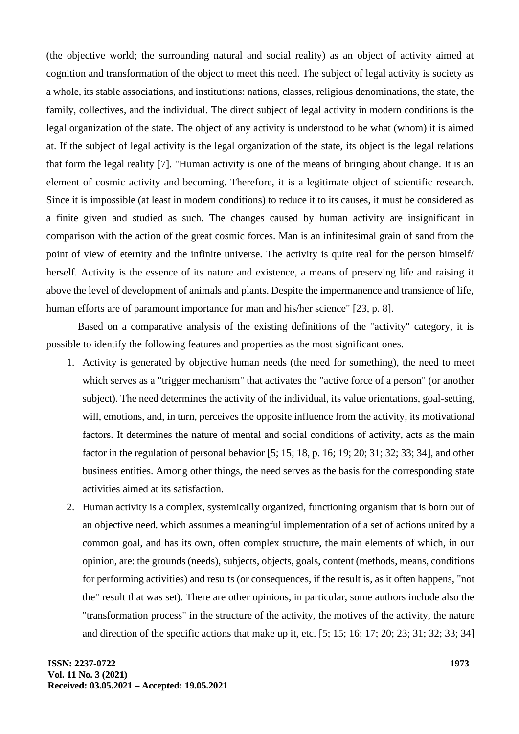(the objective world; the surrounding natural and social reality) as an object of activity aimed at cognition and transformation of the object to meet this need. The subject of legal activity is society as a whole, its stable associations, and institutions: nations, classes, religious denominations, the state, the family, collectives, and the individual. The direct subject of legal activity in modern conditions is the legal organization of the state. The object of any activity is understood to be what (whom) it is aimed at. If the subject of legal activity is the legal organization of the state, its object is the legal relations that form the legal reality [7]. "Human activity is one of the means of bringing about change. It is an element of cosmic activity and becoming. Therefore, it is a legitimate object of scientific research. Since it is impossible (at least in modern conditions) to reduce it to its causes, it must be considered as a finite given and studied as such. The changes caused by human activity are insignificant in comparison with the action of the great cosmic forces. Man is an infinitesimal grain of sand from the point of view of eternity and the infinite universe. The activity is quite real for the person himself/ herself. Activity is the essence of its nature and existence, a means of preserving life and raising it above the level of development of animals and plants. Despite the impermanence and transience of life, human efforts are of paramount importance for man and his/her science" [23, p. 8].

Based on a comparative analysis of the existing definitions of the "activity" category, it is possible to identify the following features and properties as the most significant ones.

- 1. Activity is generated by objective human needs (the need for something), the need to meet which serves as a "trigger mechanism" that activates the "active force of a person" (or another subject). The need determines the activity of the individual, its value orientations, goal-setting, will, emotions, and, in turn, perceives the opposite influence from the activity, its motivational factors. It determines the nature of mental and social conditions of activity, acts as the main factor in the regulation of personal behavior [5; 15; 18, p. 16; 19; 20; 31; 32; 33; 34], and other business entities. Among other things, the need serves as the basis for the corresponding state activities aimed at its satisfaction.
- 2. Human activity is a complex, systemically organized, functioning organism that is born out of an objective need, which assumes a meaningful implementation of a set of actions united by a common goal, and has its own, often complex structure, the main elements of which, in our opinion, are: the grounds (needs), subjects, objects, goals, content (methods, means, conditions for performing activities) and results (or consequences, if the result is, as it often happens, "not the" result that was set). There are other opinions, in particular, some authors include also the "transformation process" in the structure of the activity, the motives of the activity, the nature and direction of the specific actions that make up it, etc. [5; 15; 16; 17; 20; 23; 31; 32; 33; 34]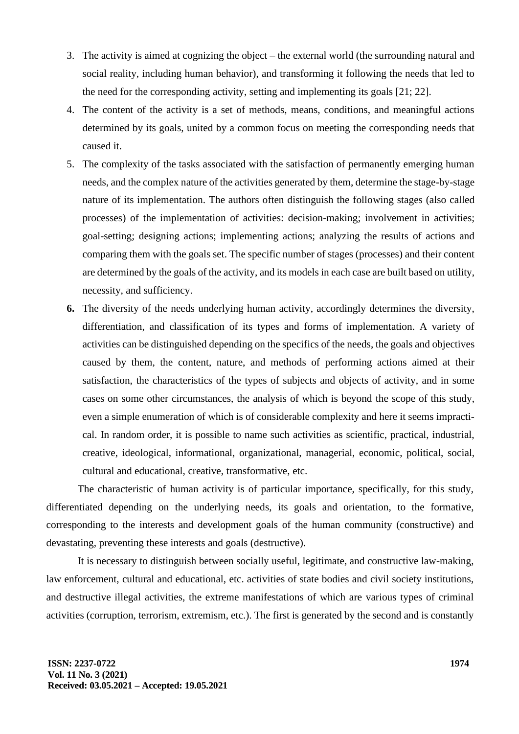- 3. The activity is aimed at cognizing the object the external world (the surrounding natural and social reality, including human behavior), and transforming it following the needs that led to the need for the corresponding activity, setting and implementing its goals [21; 22].
- 4. The content of the activity is a set of methods, means, conditions, and meaningful actions determined by its goals, united by a common focus on meeting the corresponding needs that caused it.
- 5. The complexity of the tasks associated with the satisfaction of permanently emerging human needs, and the complex nature of the activities generated by them, determine the stage-by-stage nature of its implementation. The authors often distinguish the following stages (also called processes) of the implementation of activities: decision-making; involvement in activities; [goal-setting;](https://dic.academic.ru/dic.nsf/ruwiki/699106) designing actions; implementing actions; analyzing the results of actions and comparing them with the goals set. The specific number of stages (processes) and their content are determined by the goals of the activity, and its models in each case are built based on utility, necessity, and sufficiency.
- **6.** The diversity of the needs underlying human activity, accordingly determines the diversity, differentiation, and classification of its types and forms of implementation. A variety of activities can be distinguished depending on the specifics of the needs, the goals and objectives caused by them, the content, nature, and methods of performing actions aimed at their satisfaction, the characteristics of the types of subjects and objects of activity, and in some cases on some other circumstances, the analysis of which is beyond the scope of this study, even a simple enumeration of which is of considerable complexity and here it seems impractical. In random order, it is possible to name such activities as scientific, practical, industrial, creative, ideological, informational, organizational, managerial, economic, political, social, cultural and educational, creative, transformative, etc.

The characteristic of human activity is of particular importance, specifically, for this study, differentiated depending on the underlying needs, its goals and orientation, to the formative, corresponding to the interests and development goals of the human community (constructive) and devastating, preventing these interests and goals (destructive).

It is necessary to distinguish between socially useful, legitimate, and constructive law-making, law enforcement, cultural and educational, etc. activities of state bodies and civil society institutions, and destructive illegal activities, the extreme manifestations of which are various types of criminal activities (corruption, terrorism, extremism, etc.). The first is generated by the second and is constantly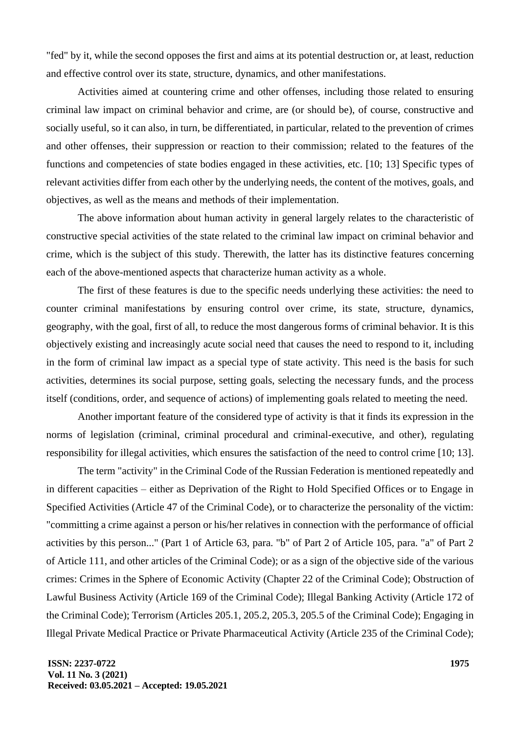"fed" by it, while the second opposes the first and aims at its potential destruction or, at least, reduction and effective control over its state, structure, dynamics, and other manifestations.

Activities aimed at countering crime and other offenses, including those related to ensuring criminal law impact on criminal behavior and crime, are (or should be), of course, constructive and socially useful, so it can also, in turn, be differentiated, in particular, related to the prevention of crimes and other offenses, their suppression or reaction to their commission; related to the features of the functions and competencies of state bodies engaged in these activities, etc. [10; 13] Specific types of relevant activities differ from each other by the underlying needs, the content of the motives, goals, and objectives, as well as the means and methods of their implementation.

The above information about human activity in general largely relates to the characteristic of constructive special activities of the state related to the criminal law impact on criminal behavior and crime, which is the subject of this study. Therewith, the latter has its distinctive features concerning each of the above-mentioned aspects that characterize human activity as a whole.

The first of these features is due to the specific needs underlying these activities: the need to counter criminal manifestations by ensuring control over crime, its state, structure, dynamics, geography, with the goal, first of all, to reduce the most dangerous forms of criminal behavior. It is this objectively existing and increasingly acute social need that causes the need to respond to it, including in the form of criminal law impact as a special type of state activity. This need is the basis for such activities, determines its social purpose, setting goals, selecting the necessary funds, and the process itself (conditions, order, and sequence of actions) of implementing goals related to meeting the need.

Another important feature of the considered type of activity is that it finds its expression in the norms of legislation (criminal, criminal procedural and criminal-executive, and other), regulating responsibility for illegal activities, which ensures the satisfaction of the need to control crime [10; 13].

The term "activity" in the Criminal Code of the Russian Federation is mentioned repeatedly and in different capacities – either as Deprivation of the Right to Hold Specified Offices or to Engage in Specified Activities (Article 47 of the Criminal Code), or to characterize the personality of the victim: "committing a crime against a person or his/her relatives in connection with the performance of official activities by this person..." (Part 1 of Article 63, para. "b" of Part 2 of Article 105, para. "a" of Part 2 of Article 111, and other articles of the Criminal Code); or as a sign of the objective side of the various crimes: Crimes in the Sphere of Economic Activity (Chapter 22 of the Criminal Code); Obstruction of Lawful Business Activity (Article 169 of the Criminal Code); Illegal Banking Activity (Article 172 of the Criminal Code); Terrorism (Articles 205.1, 205.2, 205.3, 205.5 of the Criminal Code); Engaging in Illegal Private Medical Practice or Private Pharmaceutical Activity (Article 235 of the Criminal Code);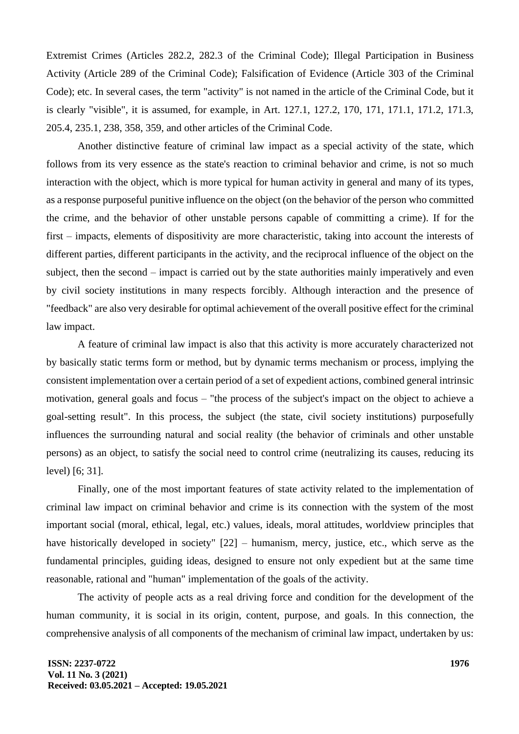Extremist Crimes (Articles 282.2, 282.3 of the Criminal Code); Illegal Participation in Business Activity (Article 289 of the Criminal Code); Falsification of Evidence (Article 303 of the Criminal Code); etc. In several cases, the term "activity" is not named in the article of the Criminal Code, but it is clearly "visible", it is assumed, for example, in Art. 127.1, 127.2, 170, 171, 171.1, 171.2, 171.3, 205.4, 235.1, 238, 358, 359, and other articles of the Criminal Code.

Another distinctive feature of criminal law impact as a special activity of the state, which follows from its very essence as the state's reaction to criminal behavior and crime, is not so much interaction with the object, which is more typical for human activity in general and many of its types, as a response purposeful punitive influence on the object (on the behavior of the person who committed the crime, and the behavior of other unstable persons capable of committing a crime). If for the first – impacts, elements of dispositivity are more characteristic, taking into account the interests of different parties, different participants in the activity, and the reciprocal influence of the object on the subject, then the second – impact is carried out by the state authorities mainly imperatively and even by civil society institutions in many respects forcibly. Although interaction and the presence of "feedback" are also very desirable for optimal achievement of the overall positive effect for the criminal law impact.

A feature of criminal law impact is also that this activity is more accurately characterized not by basically static terms form or method, but by dynamic terms mechanism or process, implying the consistent implementation over a certain period of a set of expedient actions, combined general intrinsic motivation, general goals and focus – "the process of the subject's impact on the object to achieve a goal-setting result". In this process, the subject (the state, civil society institutions) purposefully influences the surrounding natural and social reality (the behavior of criminals and other unstable persons) as an object, to satisfy the social need to control crime (neutralizing its causes, reducing its level) [6; 31].

Finally, one of the most important features of state activity related to the implementation of criminal law impact on criminal behavior and crime is its connection with the system of the most important social (moral, ethical, legal, etc.) values, ideals, moral attitudes, worldview principles that have historically developed in society"  $[22]$  – humanism, mercy, justice, etc., which serve as the fundamental principles, guiding ideas, designed to ensure not only expedient but at the same time reasonable, rational and "human" implementation of the goals of the activity.

The activity of people acts as a real driving force and condition for the development of the human community, it is social in its origin, content, purpose, and goals. In this connection, the comprehensive analysis of all components of the mechanism of criminal law impact, undertaken by us: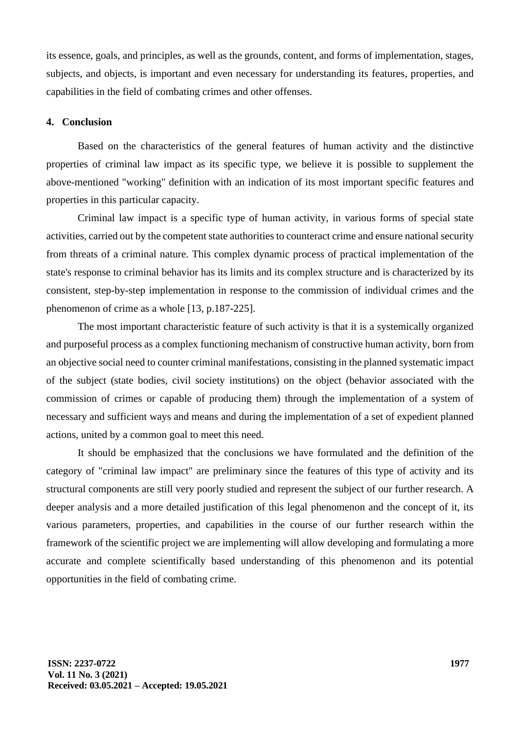its essence, goals, and principles, as well as the grounds, content, and forms of implementation, stages, subjects, and objects, is important and even necessary for understanding its features, properties, and capabilities in the field of combating crimes and other offenses.

#### **4. Conclusion**

Based on the characteristics of the general features of human activity and the distinctive properties of criminal law impact as its specific type, we believe it is possible to supplement the above-mentioned "working" definition with an indication of its most important specific features and properties in this particular capacity.

Criminal law impact is a specific type of human activity, in various forms of special state activities, carried out by the competent state authorities to counteract crime and ensure national security from threats of a criminal nature. This complex dynamic process of practical implementation of the state's response to criminal behavior has its limits and its complex structure and is characterized by its consistent, step-by-step implementation in response to the commission of individual crimes and the phenomenon of crime as a whole [13, p.187-225].

The most important characteristic feature of such activity is that it is a systemically organized and purposeful process as a complex functioning mechanism of constructive human activity, born from an objective social need to counter criminal manifestations, consisting in the planned systematic impact of the subject (state bodies, civil society institutions) on the object (behavior associated with the commission of crimes or capable of producing them) through the implementation of a system of necessary and sufficient ways and means and during the implementation of a set of expedient planned actions, united by a common goal to meet this need.

It should be emphasized that the conclusions we have formulated and the definition of the category of "criminal law impact" are preliminary since the features of this type of activity and its structural components are still very poorly studied and represent the subject of our further research. A deeper analysis and a more detailed justification of this legal phenomenon and the concept of it, its various parameters, properties, and capabilities in the course of our further research within the framework of the scientific project we are implementing will allow developing and formulating a more accurate and complete scientifically based understanding of this phenomenon and its potential opportunities in the field of combating crime.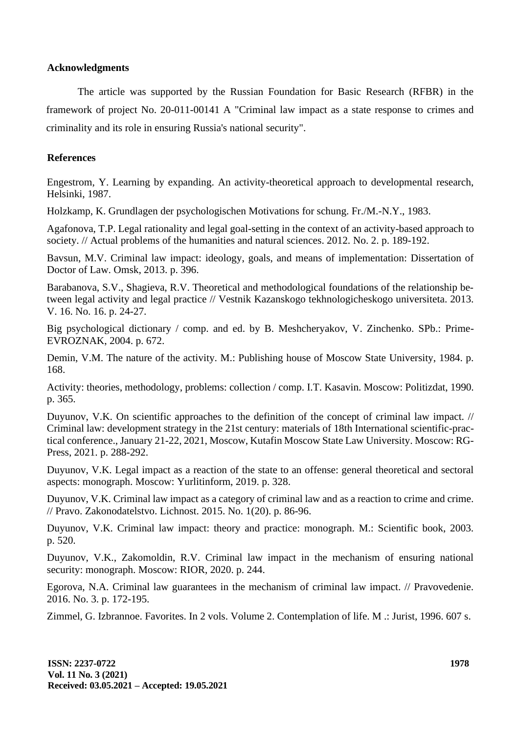# **Acknowledgments**

The article was supported by the Russian Foundation for Basic Research (RFBR) in the framework of project No. 20-011-00141 A "Criminal law impact as a state response to crimes and criminality and its role in ensuring Russia's national security".

# **References**

Engestrom, Y. Learning by expanding. An activity-theoretical approach to developmental research, Helsinki, 1987.

Holzkamp, K. Grundlagen der psychologischen Motivations for schung. Fr./M.-N.Y., 1983.

Agafonova, T.P. Legal rationality and legal goal-setting in the context of an activity-based approach to society. // Actual problems of the humanities and natural sciences. 2012. No. 2. p. 189-192.

Bavsun, M.V. Criminal law impact: ideology, goals, and means of implementation: Dissertation of Doctor of Law. Omsk, 2013. p. 396.

Barabanova, S.V., Shagieva, R.V. Theoretical and methodological foundations of the relationship between legal activity and legal practice // Vestnik Kazanskogo tekhnologicheskogo universiteta. 2013. V. 16. No. 16. p. 24-27.

Big psychological dictionary / comp. and ed. by B. Meshcheryakov, V. Zinchenko. SPb.: Prime-EVROZNAK, 2004. p. 672.

Demin, V.M. The nature of the activity. M.: Publishing house of Moscow State University, 1984. p. 168.

Activity: theories, methodology, problems: collection / comp. I.T. Kasavin. Moscow: Politizdat, 1990. p. 365.

Duyunov, V.K. On scientific approaches to the definition of the concept of criminal law impact. // Criminal law: development strategy in the 21st century: materials of 18th International scientific-practical conference., January 21-22, 2021, Moscow, Kutafin Moscow State Law University. Moscow: RG-Press, 2021. p. 288-292.

Duyunov, V.K. Legal impact as a reaction of the state to an offense: general theoretical and sectoral aspects: monograph. Moscow: Yurlitinform, 2019. p. 328.

Duyunov, V.K. Criminal law impact as a category of criminal law and as a reaction to crime and crime. // Pravo. Zakonodatelstvo. Lichnost. 2015. No. 1(20). p. 86-96.

Duyunov, V.K. Criminal law impact: theory and practice: monograph. M.: Scientific book, 2003. p. 520.

Duyunov, V.K., Zakomoldin, R.V. Criminal law impact in the mechanism of ensuring national security: monograph. Moscow: RIOR, 2020. p. 244.

Egorova, N.A. Criminal law guarantees in the mechanism of criminal law impact. // Pravovedenie. 2016. No. 3. p. 172-195.

Zimmel, G. Izbrannoe. Favorites. In 2 vols. Volume 2. Contemplation of life. M .: Jurist, 1996. 607 s.